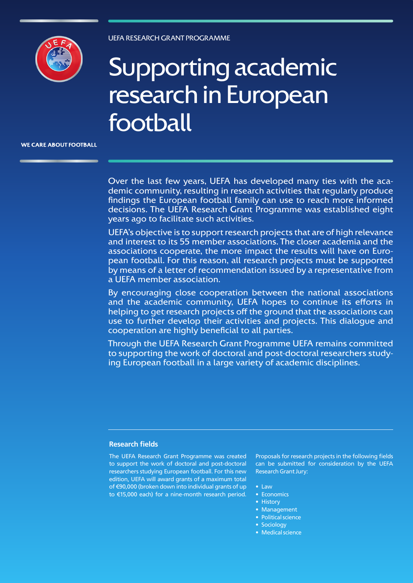

# Supporting academic research in European football

**WE CARE ABOUT FOOTBALL** 

Over the last few years, UEFA has developed many ties with the academic community, resulting in research activities that regularly produce findings the European football family can use to reach more informed decisions. The UEFA Research Grant Programme was established eight years ago to facilitate such activities.

UEFA's objective is to support research projects that are of high relevance and interest to its 55 member associations. The closer academia and the associations cooperate, the more impact the results will have on European football. For this reason, all research projects must be supported by means of a letter of recommendation issued by a representative from a UEFA member association.

By encouraging close cooperation between the national associations and the academic community, UEFA hopes to continue its efforts in helping to get research projects off the ground that the associations can use to further develop their activities and projects. This dialogue and cooperation are highly beneficial to all parties.

Through the UEFA Research Grant Programme UEFA remains committed to supporting the work of doctoral and post-doctoral researchers studying European football in a large variety of academic disciplines.

## **Research fields**

The UEFA Research Grant Programme was created to support the work of doctoral and post-doctoral researchers studying European football. For this new edition, UEFA will award grants of a maximum total of €90,000 (broken down into individual grants of up to €15,000 each) for a nine-month research period.

Proposals for research projects in the following fields can be submitted for consideration by the UEFA Research Grant Jury:

- Law
- Economics
- History
- Management
- Political science
- Sociology
- Medical science